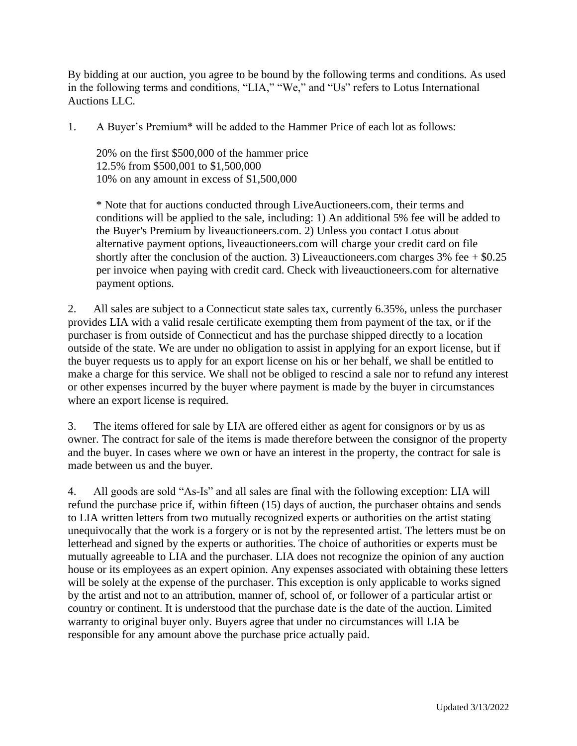By bidding at our auction, you agree to be bound by the following terms and conditions. As used in the following terms and conditions, "LIA," "We," and "Us" refers to Lotus International Auctions LLC.

1. A Buyer's Premium\* will be added to the Hammer Price of each lot as follows:

20% on the first \$500,000 of the hammer price 12.5% from \$500,001 to \$1,500,000 10% on any amount in excess of \$1,500,000

\* Note that for auctions conducted through LiveAuctioneers.com, their terms and conditions will be applied to the sale, including: 1) An additional 5% fee will be added to the Buyer's Premium by liveauctioneers.com. 2) Unless you contact Lotus about alternative payment options, liveauctioneers.com will charge your credit card on file shortly after the conclusion of the auction. 3) Liveauctioneers.com charges  $3\%$  fee  $+$  \$0.25 per invoice when paying with credit card. Check with liveauctioneers.com for alternative payment options.

2. All sales are subject to a Connecticut state sales tax, currently 6.35%, unless the purchaser provides LIA with a valid resale certificate exempting them from payment of the tax, or if the purchaser is from outside of Connecticut and has the purchase shipped directly to a location outside of the state. We are under no obligation to assist in applying for an export license, but if the buyer requests us to apply for an export license on his or her behalf, we shall be entitled to make a charge for this service. We shall not be obliged to rescind a sale nor to refund any interest or other expenses incurred by the buyer where payment is made by the buyer in circumstances where an export license is required.

3. The items offered for sale by LIA are offered either as agent for consignors or by us as owner. The contract for sale of the items is made therefore between the consignor of the property and the buyer. In cases where we own or have an interest in the property, the contract for sale is made between us and the buyer.

4. All goods are sold "As-Is" and all sales are final with the following exception: LIA will refund the purchase price if, within fifteen (15) days of auction, the purchaser obtains and sends to LIA written letters from two mutually recognized experts or authorities on the artist stating unequivocally that the work is a forgery or is not by the represented artist. The letters must be on letterhead and signed by the experts or authorities. The choice of authorities or experts must be mutually agreeable to LIA and the purchaser. LIA does not recognize the opinion of any auction house or its employees as an expert opinion. Any expenses associated with obtaining these letters will be solely at the expense of the purchaser. This exception is only applicable to works signed by the artist and not to an attribution, manner of, school of, or follower of a particular artist or country or continent. It is understood that the purchase date is the date of the auction. Limited warranty to original buyer only. Buyers agree that under no circumstances will LIA be responsible for any amount above the purchase price actually paid.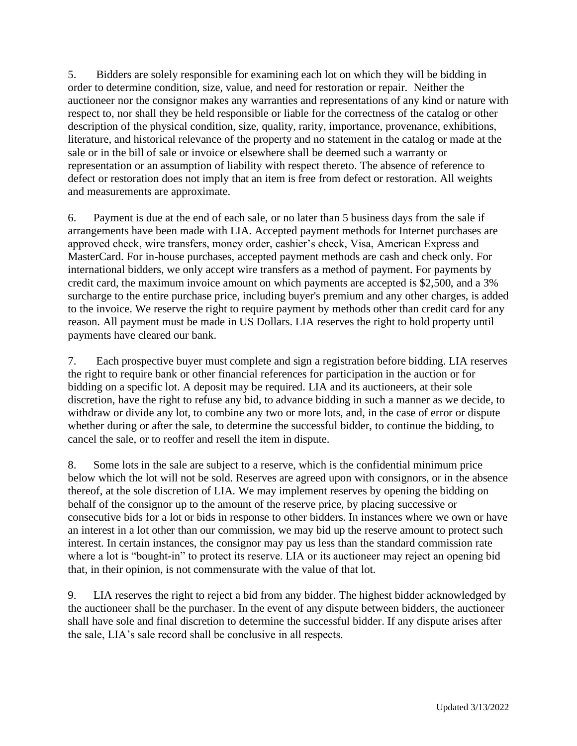5. Bidders are solely responsible for examining each lot on which they will be bidding in order to determine condition, size, value, and need for restoration or repair. Neither the auctioneer nor the consignor makes any warranties and representations of any kind or nature with respect to, nor shall they be held responsible or liable for the correctness of the catalog or other description of the physical condition, size, quality, rarity, importance, provenance, exhibitions, literature, and historical relevance of the property and no statement in the catalog or made at the sale or in the bill of sale or invoice or elsewhere shall be deemed such a warranty or representation or an assumption of liability with respect thereto. The absence of reference to defect or restoration does not imply that an item is free from defect or restoration. All weights and measurements are approximate.

6. Payment is due at the end of each sale, or no later than 5 business days from the sale if arrangements have been made with LIA. Accepted payment methods for Internet purchases are approved check, wire transfers, money order, cashier's check, Visa, American Express and MasterCard. For in-house purchases, accepted payment methods are cash and check only. For international bidders, we only accept wire transfers as a method of payment. For payments by credit card, the maximum invoice amount on which payments are accepted is \$2,500, and a 3% surcharge to the entire purchase price, including buyer's premium and any other charges, is added to the invoice. We reserve the right to require payment by methods other than credit card for any reason. All payment must be made in US Dollars. LIA reserves the right to hold property until payments have cleared our bank.

7. Each prospective buyer must complete and sign a registration before bidding. LIA reserves the right to require bank or other financial references for participation in the auction or for bidding on a specific lot. A deposit may be required. LIA and its auctioneers, at their sole discretion, have the right to refuse any bid, to advance bidding in such a manner as we decide, to withdraw or divide any lot, to combine any two or more lots, and, in the case of error or dispute whether during or after the sale, to determine the successful bidder, to continue the bidding, to cancel the sale, or to reoffer and resell the item in dispute.

8. Some lots in the sale are subject to a reserve, which is the confidential minimum price below which the lot will not be sold. Reserves are agreed upon with consignors, or in the absence thereof, at the sole discretion of LIA. We may implement reserves by opening the bidding on behalf of the consignor up to the amount of the reserve price, by placing successive or consecutive bids for a lot or bids in response to other bidders. In instances where we own or have an interest in a lot other than our commission, we may bid up the reserve amount to protect such interest. In certain instances, the consignor may pay us less than the standard commission rate where a lot is "bought-in" to protect its reserve. LIA or its auctioneer may reject an opening bid that, in their opinion, is not commensurate with the value of that lot.

9. LIA reserves the right to reject a bid from any bidder. The highest bidder acknowledged by the auctioneer shall be the purchaser. In the event of any dispute between bidders, the auctioneer shall have sole and final discretion to determine the successful bidder. If any dispute arises after the sale, LIA's sale record shall be conclusive in all respects.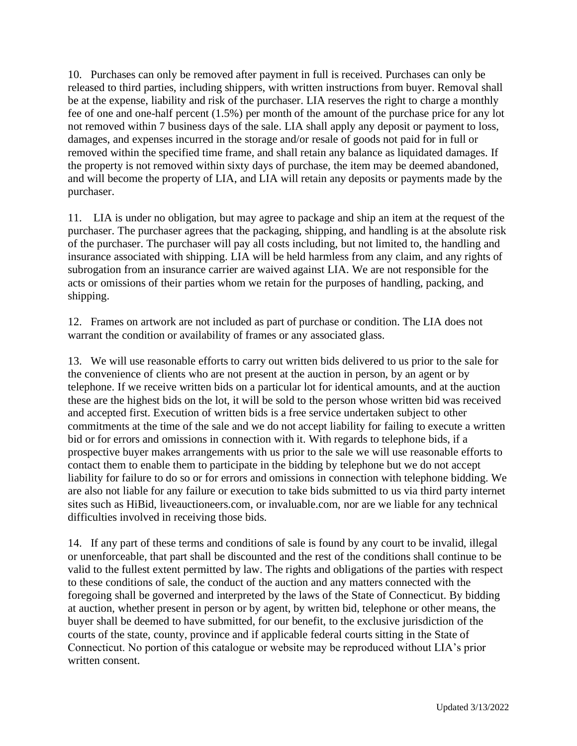10. Purchases can only be removed after payment in full is received. Purchases can only be released to third parties, including shippers, with written instructions from buyer. Removal shall be at the expense, liability and risk of the purchaser. LIA reserves the right to charge a monthly fee of one and one-half percent (1.5%) per month of the amount of the purchase price for any lot not removed within 7 business days of the sale. LIA shall apply any deposit or payment to loss, damages, and expenses incurred in the storage and/or resale of goods not paid for in full or removed within the specified time frame, and shall retain any balance as liquidated damages. If the property is not removed within sixty days of purchase, the item may be deemed abandoned, and will become the property of LIA, and LIA will retain any deposits or payments made by the purchaser.

11. LIA is under no obligation, but may agree to package and ship an item at the request of the purchaser. The purchaser agrees that the packaging, shipping, and handling is at the absolute risk of the purchaser. The purchaser will pay all costs including, but not limited to, the handling and insurance associated with shipping. LIA will be held harmless from any claim, and any rights of subrogation from an insurance carrier are waived against LIA. We are not responsible for the acts or omissions of their parties whom we retain for the purposes of handling, packing, and shipping.

12. Frames on artwork are not included as part of purchase or condition. The LIA does not warrant the condition or availability of frames or any associated glass.

13. We will use reasonable efforts to carry out written bids delivered to us prior to the sale for the convenience of clients who are not present at the auction in person, by an agent or by telephone. If we receive written bids on a particular lot for identical amounts, and at the auction these are the highest bids on the lot, it will be sold to the person whose written bid was received and accepted first. Execution of written bids is a free service undertaken subject to other commitments at the time of the sale and we do not accept liability for failing to execute a written bid or for errors and omissions in connection with it. With regards to telephone bids, if a prospective buyer makes arrangements with us prior to the sale we will use reasonable efforts to contact them to enable them to participate in the bidding by telephone but we do not accept liability for failure to do so or for errors and omissions in connection with telephone bidding. We are also not liable for any failure or execution to take bids submitted to us via third party internet sites such as HiBid, liveauctioneers.com, or invaluable.com, nor are we liable for any technical difficulties involved in receiving those bids.

14. If any part of these terms and conditions of sale is found by any court to be invalid, illegal or unenforceable, that part shall be discounted and the rest of the conditions shall continue to be valid to the fullest extent permitted by law. The rights and obligations of the parties with respect to these conditions of sale, the conduct of the auction and any matters connected with the foregoing shall be governed and interpreted by the laws of the State of Connecticut. By bidding at auction, whether present in person or by agent, by written bid, telephone or other means, the buyer shall be deemed to have submitted, for our benefit, to the exclusive jurisdiction of the courts of the state, county, province and if applicable federal courts sitting in the State of Connecticut. No portion of this catalogue or website may be reproduced without LIA's prior written consent.